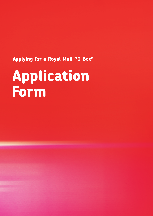**Applying for a Royal Mail PO Box®**

# **Application Form**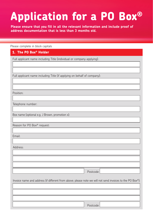# **Application for a PO Box®**

**Please ensure that you fill in all the relevant information and include proof of address documentation that is less than 3 months old.**

Please complete in block capitals

## **1. The PO Box® Holder**

Full applicant name including Title (individual or company applying):

Full applicant name including Title (if applying on behalf of company):

Position:

Telephone number:

Box name (optional e.g. J Brown, promotion x):

Reason for PO Box® request:

Email:

Address:

Postcode

Invoice name and address (if different from above; please note we will not send invoices to the PO Box®):

Postcode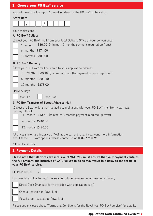### **2. Choose your PO Box® service**

You will need to allow up to 10 working days for the PO box® to be set up.

#### **Start Date**



Your choices are :-

#### **A. PO Box® Collect**

(Collect your PO Box® mail from your local Delivery Office at your convenience)

1 month £36.00\* (minimum 3 months payment required up front)

1  $\,$  month  $\,$  £38.10 $^{\circ}$  (minimum 3 months payment required up front )

6 months £174.00

12 months £300.00

#### **B. PO Box® Delivery**

(Have your PO Box® mail delivered to your application address)



6 months £209.10

12 months £378.00

Delivery Days

Mon-Fri | Mon-Sat

#### **C. PO Box Transfer of Street Address Mail**

(Collect the Box holder's normal address mail along with your PO Box® mail from your local delivery office.)

1 month £43.50\* (minimum 3 months payment required up front)

6 months £240.00

12 months £426.00

All prices shown are inclusive of VAT at the current rate. If you want more information about these PO Box® options, please contact us on **03457 950 950**.

\*Direct Debit only

#### **3. Payment Details**

**Please note that all prices are inclusive of VAT. You must ensure that your payment contains the full amount due inclusive of VAT. Failure to do so may result in a delay to the set up of your PO Box® service.** 

| PO Box <sup>®</sup> rental |  |  |
|----------------------------|--|--|
|----------------------------|--|--|

How would you like to pay? (Be sure to include payment when sending in form.)

Direct Debit (mandate form available with application pack)

Cheque (payable to Royal Mail)

Postal order (payable to Royal Mail)

Please see enclosed sheet "Terms and Conditions for the Royal Mail PO Box® service" for details.

#### **application form continued overleaf >**